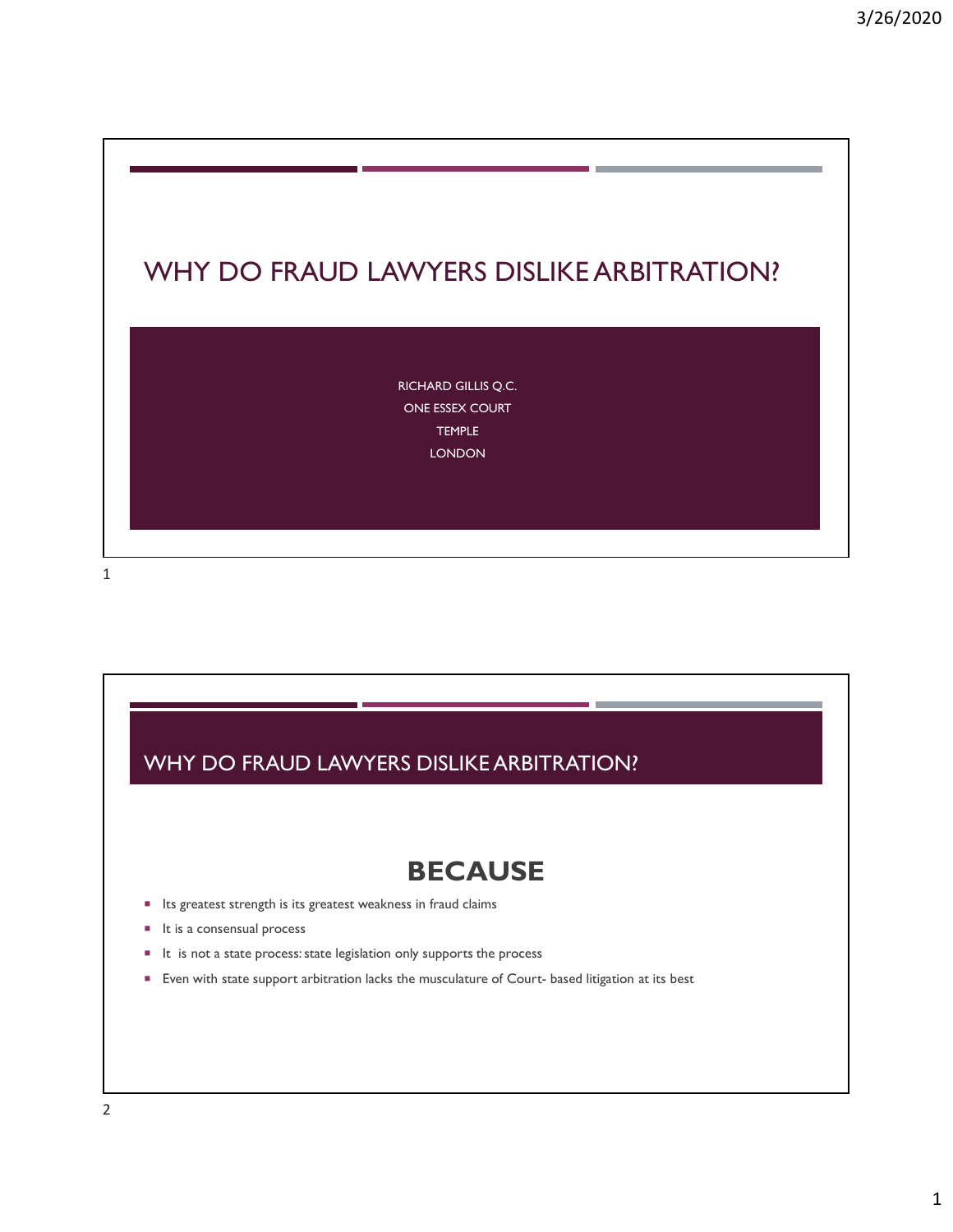

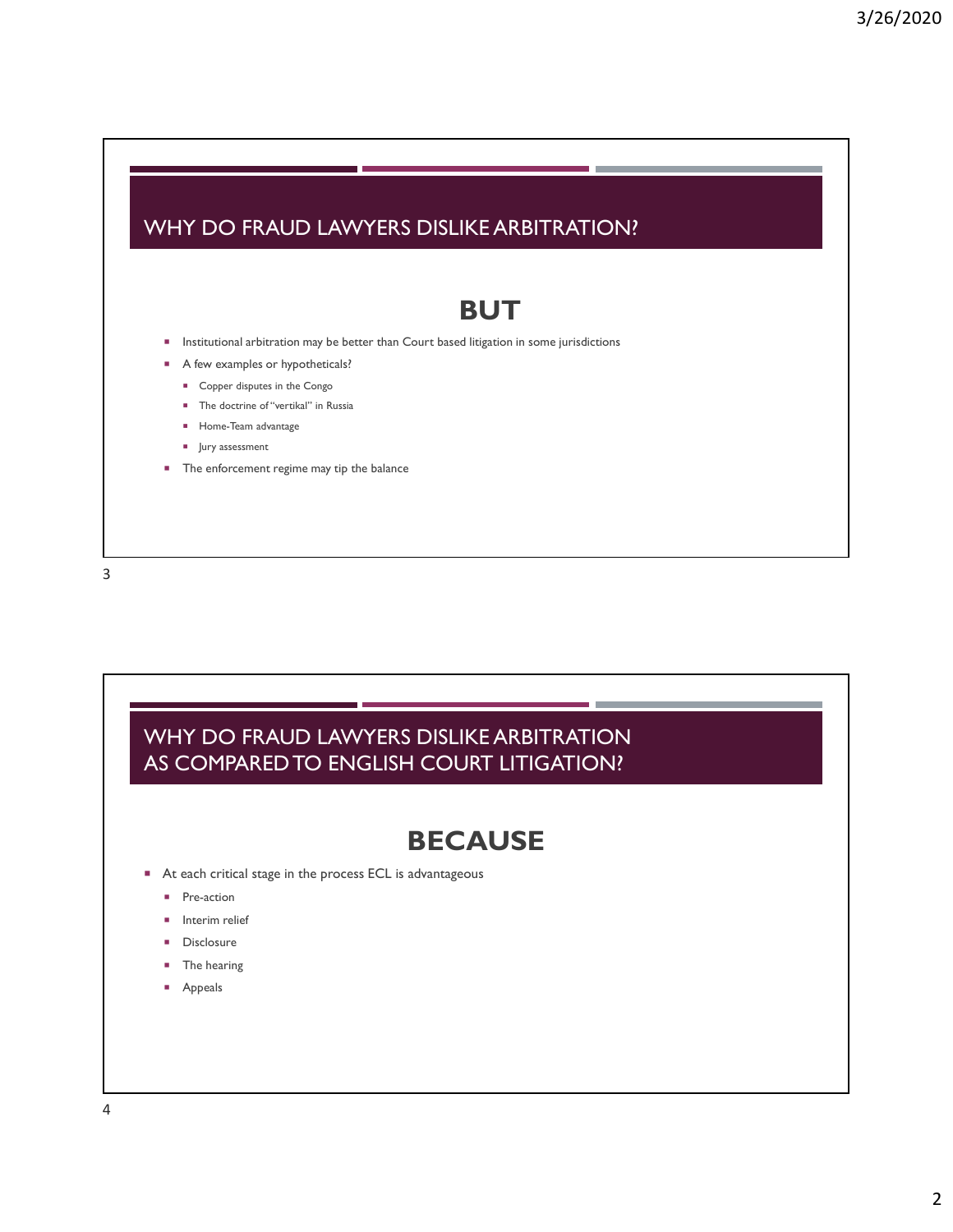#### WHY DO FRAUD LAWYERS DISLIKE ARBITRATION?

### BUT

- **Institutional arbitration may be better than Court based litigation in some jurisdictions**
- A few examples or hypotheticals?
	- Copper disputes in the Congo
	- **The doctrine of "vertikal" in Russia**
	- **Home-Team advantage**
	- **Jury assessment**
- **The enforcement regime may tip the balance**

3

#### WHY DO FRAUD LAWYERS DISLIKE ARBITRATION AS COMPARED TO ENGLISH COURT LITIGATION?

## **BECAUSE**

- At each critical stage in the process ECL is advantageous
	- **Pre-action**
	- **Interim relief**
	- **Disclosure**
	- The hearing
	- **Appeals**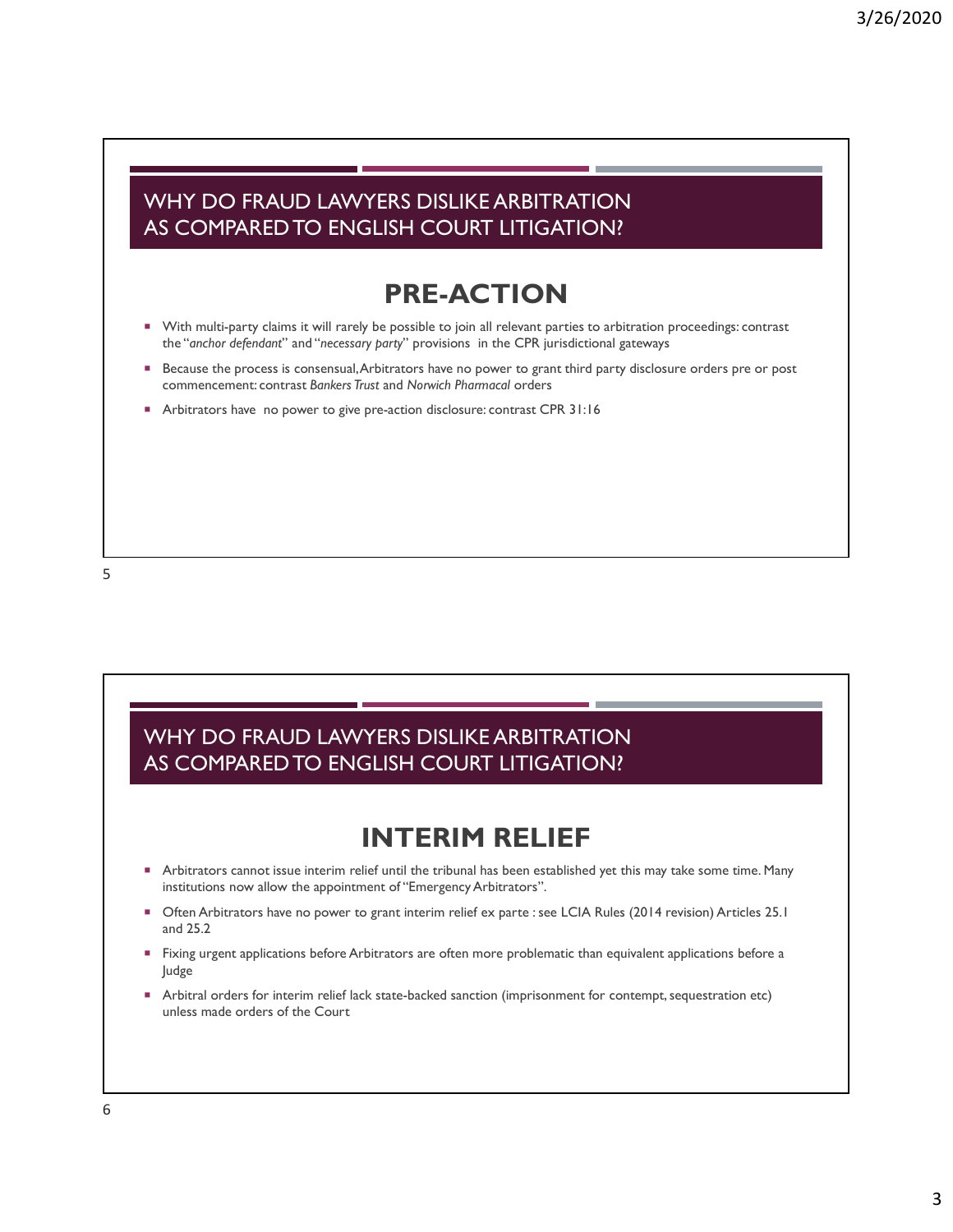#### WHY DO FRAUD LAWYERS DISLIKE ARBITRATION AS COMPARED TO ENGLISH COURT LITIGATION?

## PRE-ACTION

- With multi-party claims it will rarely be possible to join all relevant parties to arbitration proceedings: contrast the "anchor defendant" and "necessary party" provisions in the CPR jurisdictional gateways
- Because the process is consensual, Arbitrators have no power to grant third party disclosure orders pre or post commencement: contrast Bankers Trust and Norwich Pharmacal orders
- Arbitrators have no power to give pre-action disclosure: contrast CPR 31:16



#### WHY DO FRAUD LAWYERS DISLIKE ARBITRATION AS COMPARED TO ENGLISH COURT LITIGATION?

## INTERIM RELIEF

- Arbitrators cannot issue interim relief until the tribunal has been established yet this may take some time. Many institutions now allow the appointment of "Emergency Arbitrators".
- Often Arbitrators have no power to grant interim relief ex parte : see LCIA Rules (2014 revision) Articles 25.1 and 25.2
- Fixing urgent applications before Arbitrators are often more problematic than equivalent applications before a Judge
- Arbitral orders for interim relief lack state-backed sanction (imprisonment for contempt, sequestration etc) unless made orders of the Court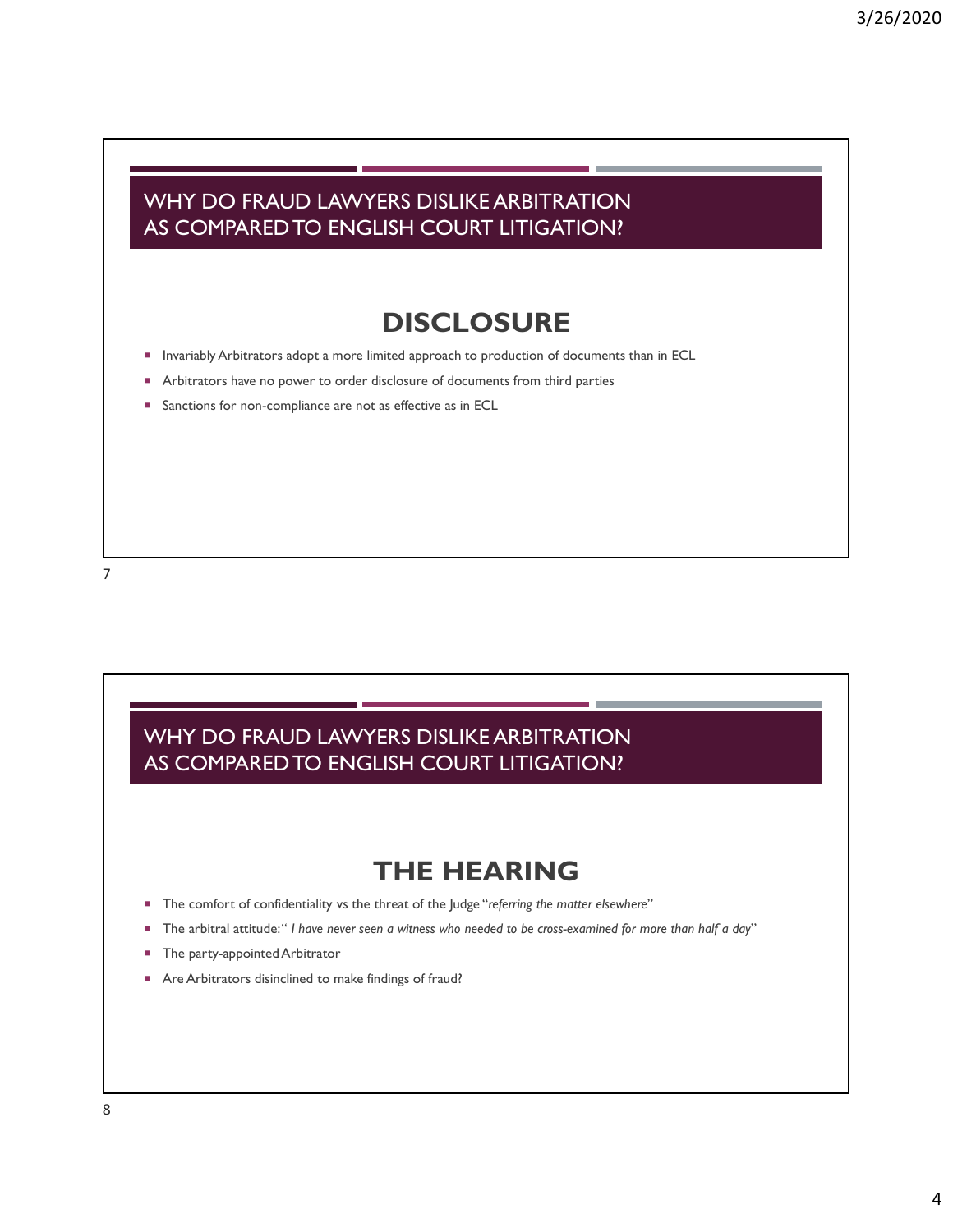#### WHY DO FRAUD LAWYERS DISLIKE ARBITRATION AS COMPARED TO ENGLISH COURT LITIGATION?

## **DISCLOSURE**

- **Invariably Arbitrators adopt a more limited approach to production of documents than in ECL**
- Arbitrators have no power to order disclosure of documents from third parties
- **Sanctions for non-compliance are not as effective as in ECL**

#### WHY DO FRAUD LAWYERS DISLIKE ARBITRATION AS COMPARED TO ENGLISH COURT LITIGATION?

## THE HEARING

- The comfort of confidentiality vs the threat of the Judge "referring the matter elsewhere"
- The arbitral attitude: " I have never seen a witness who needed to be cross-examined for more than half a day"
- The party-appointed Arbitrator
- Are Arbitrators disinclined to make findings of fraud?